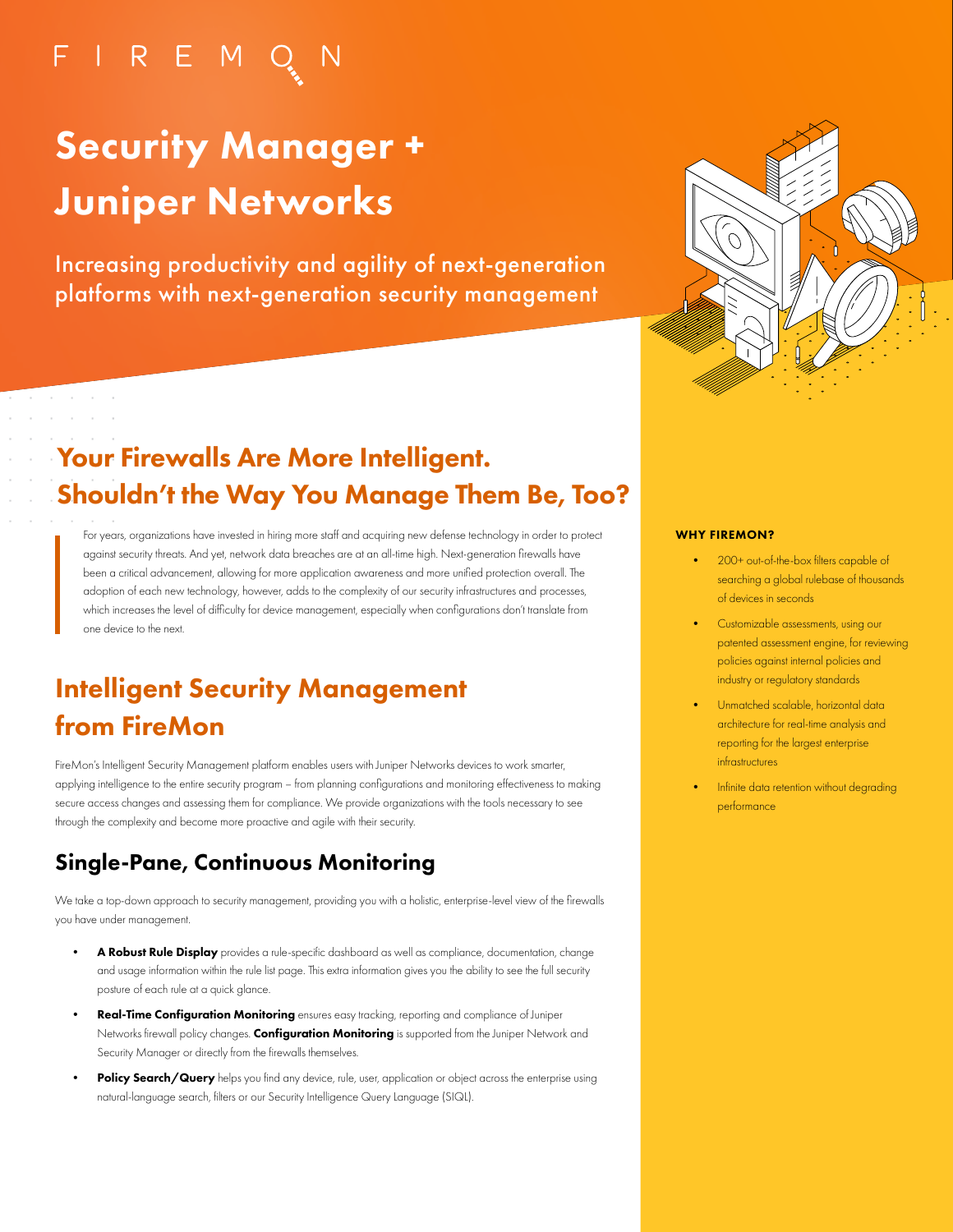## FIREMO

# Security Manager + Juniper Networks

Increasing productivity and agility of next-generation platforms with next-generation security management



## Your Firewalls Are More Intelligent. Shouldn't the Way You Manage Them Be, Too?

For years, organizations have invested in hiring more staff and acquiring new defense technology in order to protect against security threats. And yet, network data breaches are at an all-time high. Next-generation firewalls have been a critical advancement, allowing for more application awareness and more unified protection overall. The adoption of each new technology, however, adds to the complexity of our security infrastructures and processes, which increases the level of difficulty for device management, especially when configurations don't translate from one device to the next.

## Intelligent Security Management from FireMon

FireMon's Intelligent Security Management platform enables users with Juniper Networks devices to work smarter, applying intelligence to the entire security program – from planning configurations and monitoring effectiveness to making secure access changes and assessing them for compliance. We provide organizations with the tools necessary to see through the complexity and become more proactive and agile with their security.

### Single-Pane, Continuous Monitoring

We take a top-down approach to security management, providing you with a holistic, enterprise-level view of the firewalls you have under management.

- A Robust Rule Display provides a rule-specific dashboard as well as compliance, documentation, change and usage information within the rule list page. This extra information gives you the ability to see the full security posture of each rule at a quick glance.
- Real-Time Configuration Monitoring ensures easy tracking, reporting and compliance of Juniper Networks firewall policy changes. Configuration Monitoring is supported from the Juniper Network and Security Manager or directly from the firewalls themselves.
- Policy Search/Query helps you find any device, rule, user, application or object across the enterprise using natural-language search, filters or our Security Intelligence Query Language (SIQL).

#### WHY FIREMON?

- 200+ out-of-the-box filters capable of searching a global rulebase of thousands of devices in seconds
- Customizable assessments, using our patented assessment engine, for reviewing policies against internal policies and industry or regulatory standards
- Unmatched scalable, horizontal data architecture for real-time analysis and reporting for the largest enterprise infrastructures
- Infinite data retention without degrading performance